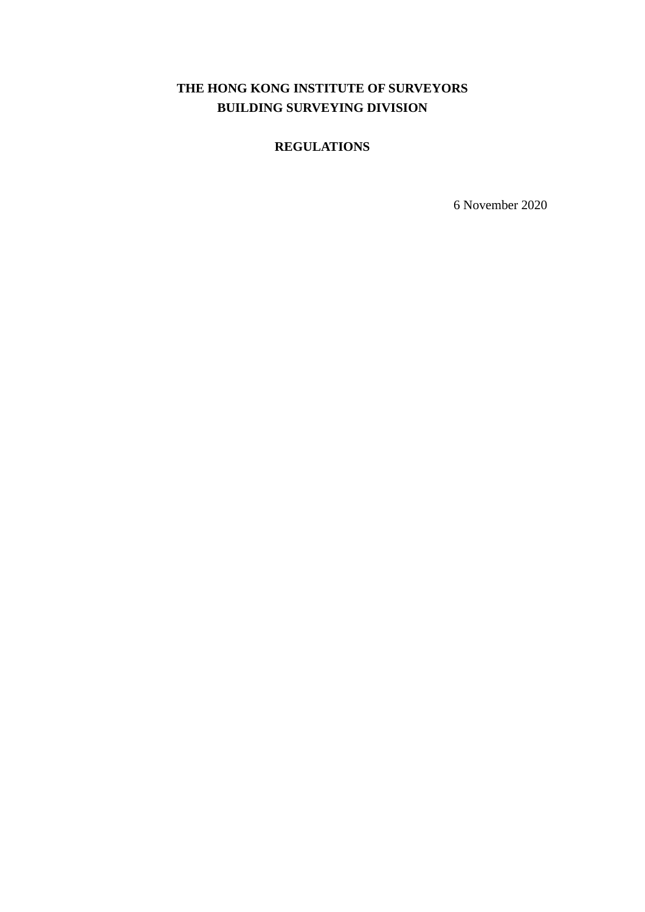# **THE HONG KONG INSTITUTE OF SURVEYORS BUILDING SURVEYING DIVISION**

## **REGULATIONS**

6 November 2020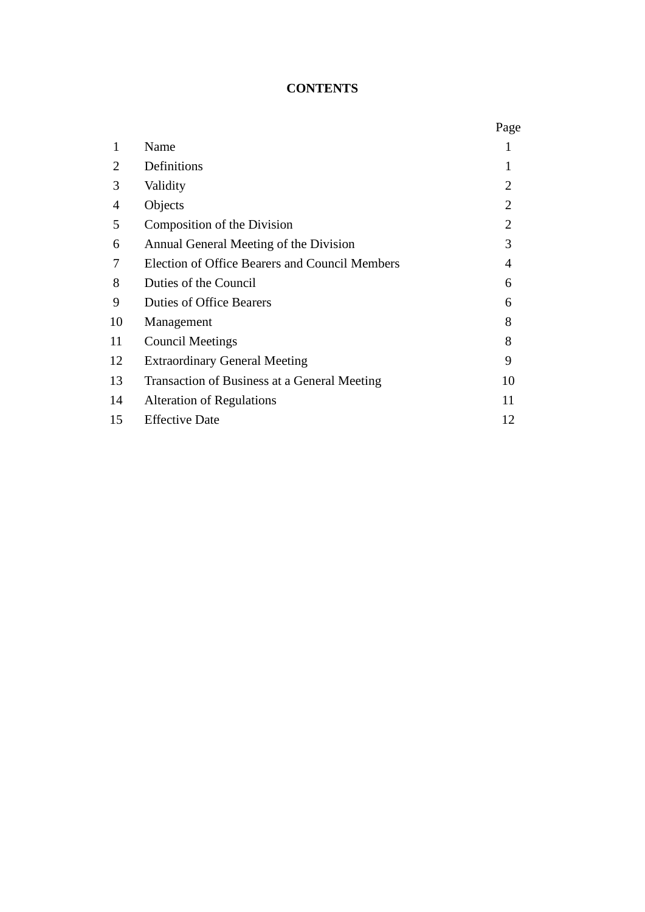## **CONTENTS**

|              |                                                | Page           |
|--------------|------------------------------------------------|----------------|
| $\mathbf{1}$ | Name                                           |                |
| 2            | Definitions                                    | 1              |
| 3            | Validity                                       | $\overline{2}$ |
| 4            | Objects                                        | $\overline{2}$ |
| 5            | Composition of the Division                    | $\overline{2}$ |
| 6            | Annual General Meeting of the Division         | 3              |
| 7            | Election of Office Bearers and Council Members | 4              |
| 8            | Duties of the Council                          | 6              |
| 9            | <b>Duties of Office Bearers</b>                | 6              |
| 10           | Management                                     | 8              |
| 11           | <b>Council Meetings</b>                        | 8              |
| 12           | <b>Extraordinary General Meeting</b>           | 9              |
| 13           | Transaction of Business at a General Meeting   | 10             |
| 14           | <b>Alteration of Regulations</b>               | 11             |
| 15           | <b>Effective Date</b>                          | 12             |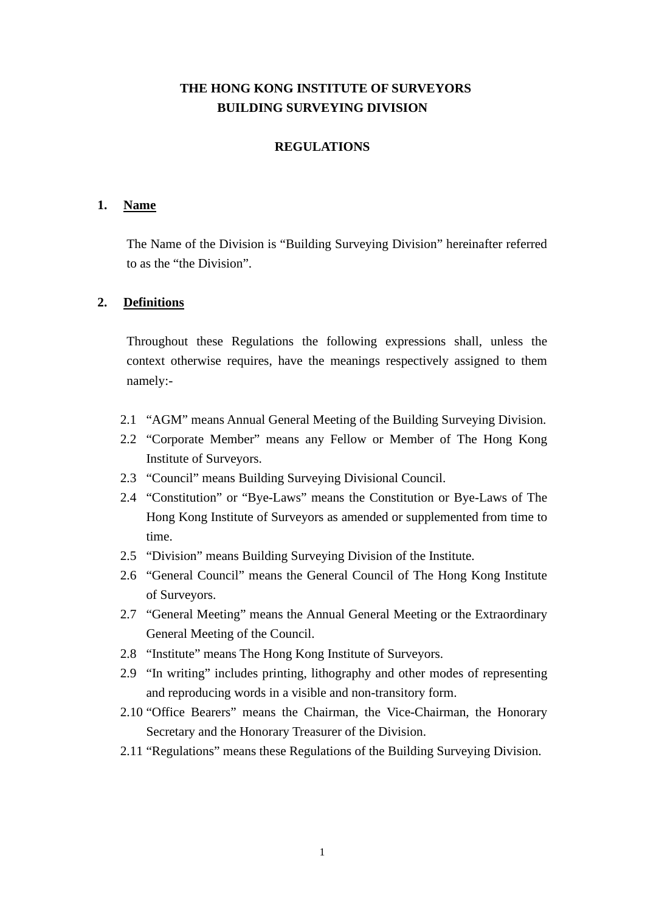## **THE HONG KONG INSTITUTE OF SURVEYORS BUILDING SURVEYING DIVISION**

#### **REGULATIONS**

#### **1. Name**

The Name of the Division is "Building Surveying Division" hereinafter referred to as the "the Division".

### **2. Definitions**

Throughout these Regulations the following expressions shall, unless the context otherwise requires, have the meanings respectively assigned to them namely:-

- 2.1 "AGM" means Annual General Meeting of the Building Surveying Division.
- 2.2 "Corporate Member" means any Fellow or Member of The Hong Kong Institute of Surveyors.
- 2.3 "Council" means Building Surveying Divisional Council.
- 2.4 "Constitution" or "Bye-Laws" means the Constitution or Bye-Laws of The Hong Kong Institute of Surveyors as amended or supplemented from time to time.
- 2.5 "Division" means Building Surveying Division of the Institute.
- 2.6 "General Council" means the General Council of The Hong Kong Institute of Surveyors.
- 2.7 "General Meeting" means the Annual General Meeting or the Extraordinary General Meeting of the Council.
- 2.8 "Institute" means The Hong Kong Institute of Surveyors.
- 2.9 "In writing" includes printing, lithography and other modes of representing and reproducing words in a visible and non-transitory form.
- 2.10 "Office Bearers" means the Chairman, the Vice-Chairman, the Honorary Secretary and the Honorary Treasurer of the Division.
- 2.11 "Regulations" means these Regulations of the Building Surveying Division.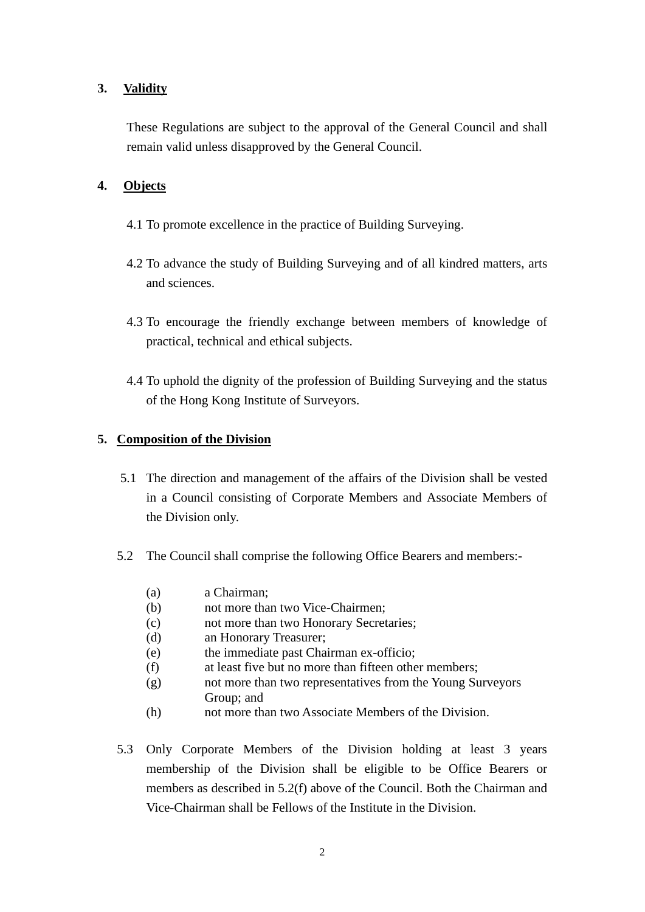## **3. Validity**

These Regulations are subject to the approval of the General Council and shall remain valid unless disapproved by the General Council.

## **4. Objects**

- 4.1 To promote excellence in the practice of Building Surveying.
- 4.2 To advance the study of Building Surveying and of all kindred matters, arts and sciences.
- 4.3 To encourage the friendly exchange between members of knowledge of practical, technical and ethical subjects.
- 4.4 To uphold the dignity of the profession of Building Surveying and the status of the Hong Kong Institute of Surveyors.

#### **5. Composition of the Division**

- 5.1 The direction and management of the affairs of the Division shall be vested in a Council consisting of Corporate Members and Associate Members of the Division only.
- 5.2 The Council shall comprise the following Office Bearers and members:-
	- (a) a Chairman;
	- (b) not more than two Vice-Chairmen;
	- (c) not more than two Honorary Secretaries;
	- (d) an Honorary Treasurer;
	- (e) the immediate past Chairman ex-officio;
	- (f) at least five but no more than fifteen other members;
	- (g) not more than two representatives from the Young Surveyors Group; and
	- (h) not more than two Associate Members of the Division.
- 5.3 Only Corporate Members of the Division holding at least 3 years membership of the Division shall be eligible to be Office Bearers or members as described in 5.2(f) above of the Council. Both the Chairman and Vice-Chairman shall be Fellows of the Institute in the Division.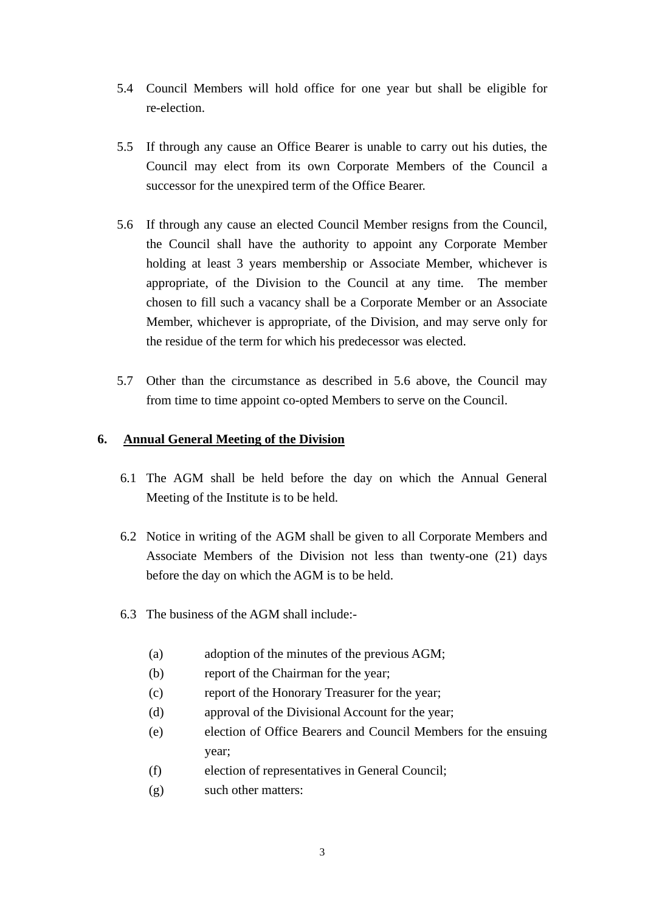- 5.4 Council Members will hold office for one year but shall be eligible for re-election.
- 5.5 If through any cause an Office Bearer is unable to carry out his duties, the Council may elect from its own Corporate Members of the Council a successor for the unexpired term of the Office Bearer.
- 5.6 If through any cause an elected Council Member resigns from the Council, the Council shall have the authority to appoint any Corporate Member holding at least 3 years membership or Associate Member, whichever is appropriate, of the Division to the Council at any time. The member chosen to fill such a vacancy shall be a Corporate Member or an Associate Member, whichever is appropriate, of the Division, and may serve only for the residue of the term for which his predecessor was elected.
- 5.7 Other than the circumstance as described in 5.6 above, the Council may from time to time appoint co-opted Members to serve on the Council.

### **6. Annual General Meeting of the Division**

- 6.1 The AGM shall be held before the day on which the Annual General Meeting of the Institute is to be held.
- 6.2 Notice in writing of the AGM shall be given to all Corporate Members and Associate Members of the Division not less than twenty-one (21) days before the day on which the AGM is to be held.
- 6.3 The business of the AGM shall include:-
	- (a) adoption of the minutes of the previous AGM;
	- (b) report of the Chairman for the year;
	- (c) report of the Honorary Treasurer for the year;
	- (d) approval of the Divisional Account for the year;
	- (e) election of Office Bearers and Council Members for the ensuing year;
	- (f) election of representatives in General Council;
	- (g) such other matters: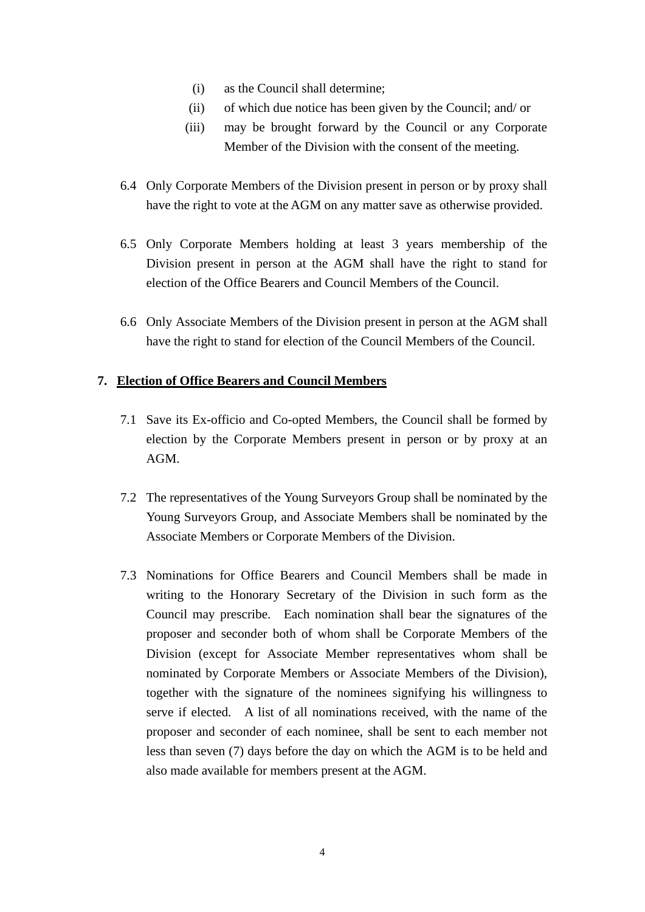- (i) as the Council shall determine;
- (ii) of which due notice has been given by the Council; and/ or
- (iii) may be brought forward by the Council or any Corporate Member of the Division with the consent of the meeting.
- 6.4 Only Corporate Members of the Division present in person or by proxy shall have the right to vote at the AGM on any matter save as otherwise provided.
- 6.5 Only Corporate Members holding at least 3 years membership of the Division present in person at the AGM shall have the right to stand for election of the Office Bearers and Council Members of the Council.
- 6.6 Only Associate Members of the Division present in person at the AGM shall have the right to stand for election of the Council Members of the Council.

## **7. Election of Office Bearers and Council Members**

- 7.1 Save its Ex-officio and Co-opted Members, the Council shall be formed by election by the Corporate Members present in person or by proxy at an AGM.
- 7.2 The representatives of the Young Surveyors Group shall be nominated by the Young Surveyors Group, and Associate Members shall be nominated by the Associate Members or Corporate Members of the Division.
- 7.3 Nominations for Office Bearers and Council Members shall be made in writing to the Honorary Secretary of the Division in such form as the Council may prescribe. Each nomination shall bear the signatures of the proposer and seconder both of whom shall be Corporate Members of the Division (except for Associate Member representatives whom shall be nominated by Corporate Members or Associate Members of the Division), together with the signature of the nominees signifying his willingness to serve if elected. A list of all nominations received, with the name of the proposer and seconder of each nominee, shall be sent to each member not less than seven (7) days before the day on which the AGM is to be held and also made available for members present at the AGM.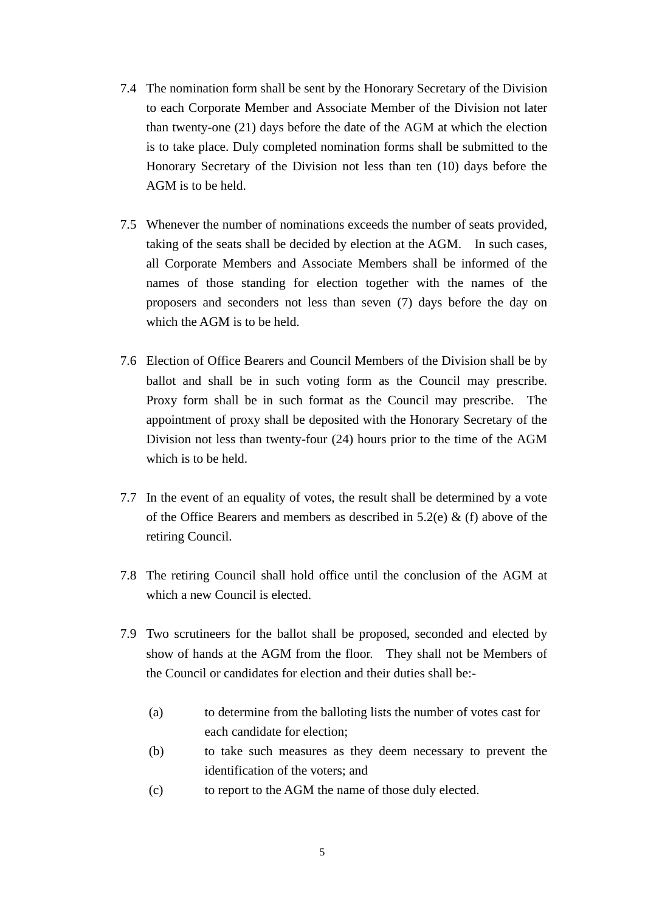- 7.4 The nomination form shall be sent by the Honorary Secretary of the Division to each Corporate Member and Associate Member of the Division not later than twenty-one (21) days before the date of the AGM at which the election is to take place. Duly completed nomination forms shall be submitted to the Honorary Secretary of the Division not less than ten (10) days before the AGM is to be held.
- 7.5 Whenever the number of nominations exceeds the number of seats provided, taking of the seats shall be decided by election at the AGM. In such cases, all Corporate Members and Associate Members shall be informed of the names of those standing for election together with the names of the proposers and seconders not less than seven (7) days before the day on which the AGM is to be held.
- 7.6 Election of Office Bearers and Council Members of the Division shall be by ballot and shall be in such voting form as the Council may prescribe. Proxy form shall be in such format as the Council may prescribe. The appointment of proxy shall be deposited with the Honorary Secretary of the Division not less than twenty-four (24) hours prior to the time of the AGM which is to be held.
- 7.7 In the event of an equality of votes, the result shall be determined by a vote of the Office Bearers and members as described in  $5.2(e)$  & (f) above of the retiring Council.
- 7.8 The retiring Council shall hold office until the conclusion of the AGM at which a new Council is elected.
- 7.9 Two scrutineers for the ballot shall be proposed, seconded and elected by show of hands at the AGM from the floor. They shall not be Members of the Council or candidates for election and their duties shall be:-
	- (a) to determine from the balloting lists the number of votes cast for each candidate for election;
	- (b) to take such measures as they deem necessary to prevent the identification of the voters; and
	- (c) to report to the AGM the name of those duly elected.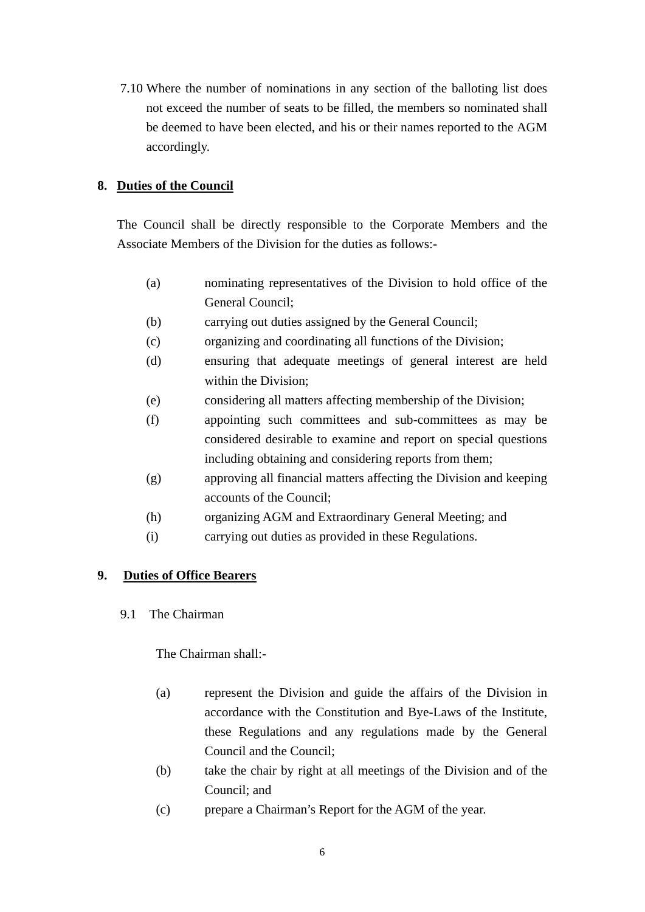7.10 Where the number of nominations in any section of the balloting list does not exceed the number of seats to be filled, the members so nominated shall be deemed to have been elected, and his or their names reported to the AGM accordingly.

## **8. Duties of the Council**

The Council shall be directly responsible to the Corporate Members and the Associate Members of the Division for the duties as follows:-

- (a) nominating representatives of the Division to hold office of the General Council;
- (b) carrying out duties assigned by the General Council;
- (c) organizing and coordinating all functions of the Division;
- (d) ensuring that adequate meetings of general interest are held within the Division;
- (e) considering all matters affecting membership of the Division;
- (f) appointing such committees and sub-committees as may be considered desirable to examine and report on special questions including obtaining and considering reports from them;
- (g) approving all financial matters affecting the Division and keeping accounts of the Council;
- (h) organizing AGM and Extraordinary General Meeting; and
- (i) carrying out duties as provided in these Regulations.

## **9. Duties of Office Bearers**

9.1 The Chairman

The Chairman shall:-

- (a) represent the Division and guide the affairs of the Division in accordance with the Constitution and Bye-Laws of the Institute, these Regulations and any regulations made by the General Council and the Council;
- (b) take the chair by right at all meetings of the Division and of the Council; and
- (c) prepare a Chairman's Report for the AGM of the year.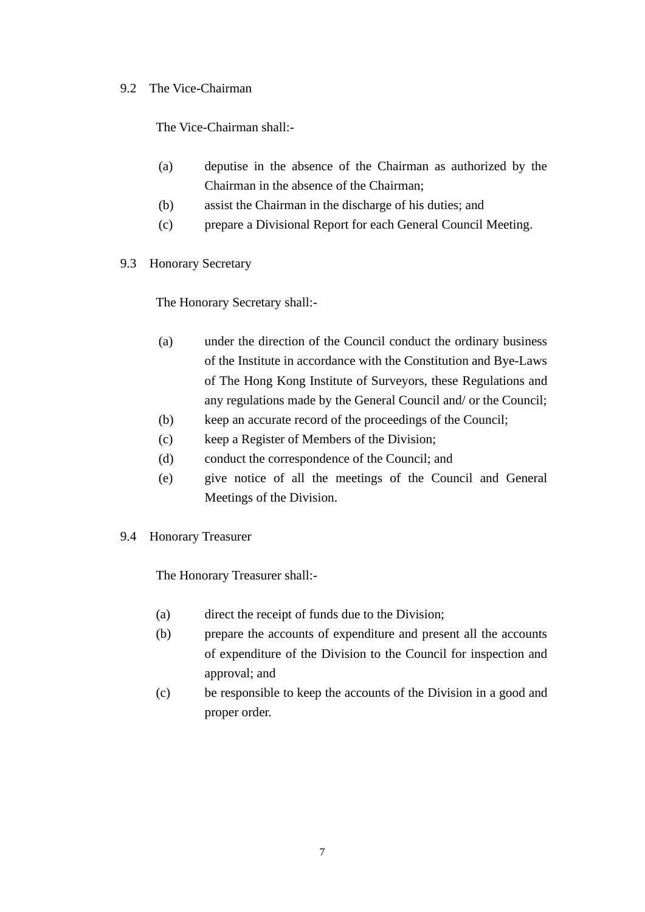### 9.2 The Vice-Chairman

The Vice-Chairman shall:-

- (a) deputise in the absence of the Chairman as authorized by the Chairman in the absence of the Chairman;
- (b) assist the Chairman in the discharge of his duties; and
- (c) prepare a Divisional Report for each General Council Meeting.
- 9.3 Honorary Secretary

The Honorary Secretary shall:-

- (a) under the direction of the Council conduct the ordinary business of the Institute in accordance with the Constitution and Bye-Laws of The Hong Kong Institute of Surveyors, these Regulations and any regulations made by the General Council and/ or the Council;
- (b) keep an accurate record of the proceedings of the Council;
- (c) keep a Register of Members of the Division;
- (d) conduct the correspondence of the Council; and
- (e) give notice of all the meetings of the Council and General Meetings of the Division.
- 9.4 Honorary Treasurer

The Honorary Treasurer shall:-

- (a) direct the receipt of funds due to the Division;
- (b) prepare the accounts of expenditure and present all the accounts of expenditure of the Division to the Council for inspection and approval; and
- (c) be responsible to keep the accounts of the Division in a good and proper order.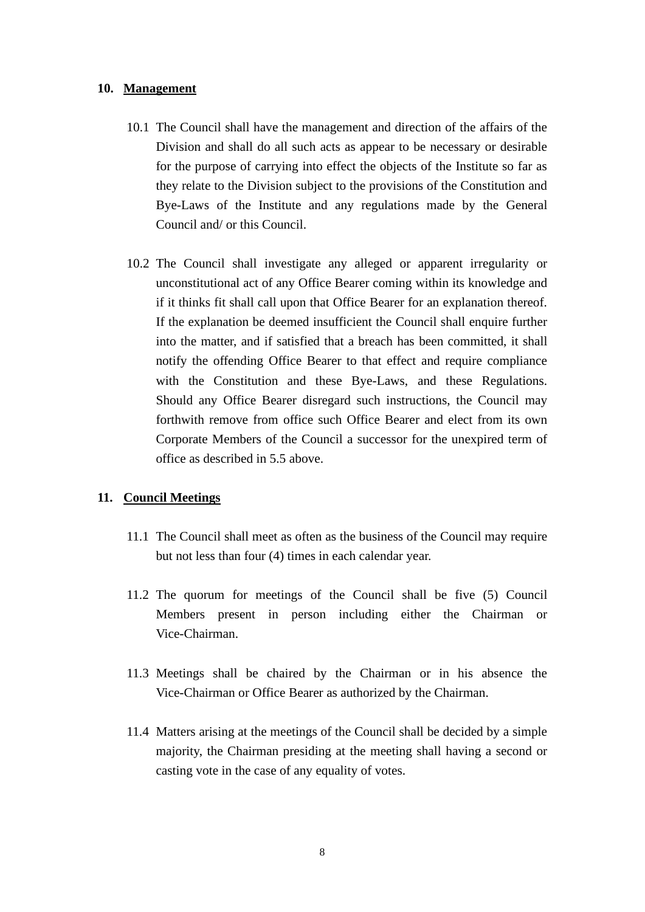#### **10. Management**

- 10.1 The Council shall have the management and direction of the affairs of the Division and shall do all such acts as appear to be necessary or desirable for the purpose of carrying into effect the objects of the Institute so far as they relate to the Division subject to the provisions of the Constitution and Bye-Laws of the Institute and any regulations made by the General Council and/ or this Council.
- 10.2 The Council shall investigate any alleged or apparent irregularity or unconstitutional act of any Office Bearer coming within its knowledge and if it thinks fit shall call upon that Office Bearer for an explanation thereof. If the explanation be deemed insufficient the Council shall enquire further into the matter, and if satisfied that a breach has been committed, it shall notify the offending Office Bearer to that effect and require compliance with the Constitution and these Bye-Laws, and these Regulations. Should any Office Bearer disregard such instructions, the Council may forthwith remove from office such Office Bearer and elect from its own Corporate Members of the Council a successor for the unexpired term of office as described in 5.5 above.

#### **11. Council Meetings**

- 11.1 The Council shall meet as often as the business of the Council may require but not less than four (4) times in each calendar year.
- 11.2 The quorum for meetings of the Council shall be five (5) Council Members present in person including either the Chairman or Vice-Chairman.
- 11.3 Meetings shall be chaired by the Chairman or in his absence the Vice-Chairman or Office Bearer as authorized by the Chairman.
- 11.4 Matters arising at the meetings of the Council shall be decided by a simple majority, the Chairman presiding at the meeting shall having a second or casting vote in the case of any equality of votes.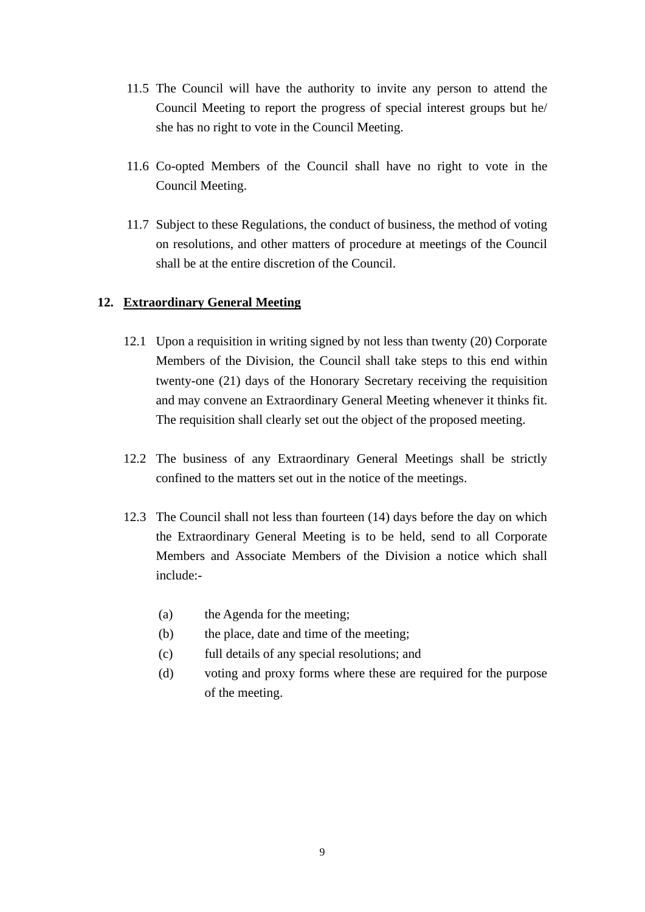- 11.5 The Council will have the authority to invite any person to attend the Council Meeting to report the progress of special interest groups but he/ she has no right to vote in the Council Meeting.
- 11.6 Co-opted Members of the Council shall have no right to vote in the Council Meeting.
- 11.7 Subject to these Regulations, the conduct of business, the method of voting on resolutions, and other matters of procedure at meetings of the Council shall be at the entire discretion of the Council.

#### **12. Extraordinary General Meeting**

- 12.1 Upon a requisition in writing signed by not less than twenty (20) Corporate Members of the Division, the Council shall take steps to this end within twenty-one (21) days of the Honorary Secretary receiving the requisition and may convene an Extraordinary General Meeting whenever it thinks fit. The requisition shall clearly set out the object of the proposed meeting.
- 12.2 The business of any Extraordinary General Meetings shall be strictly confined to the matters set out in the notice of the meetings.
- 12.3 The Council shall not less than fourteen (14) days before the day on which the Extraordinary General Meeting is to be held, send to all Corporate Members and Associate Members of the Division a notice which shall include:-
	- (a) the Agenda for the meeting;
	- (b) the place, date and time of the meeting;
	- (c) full details of any special resolutions; and
	- (d) voting and proxy forms where these are required for the purpose of the meeting.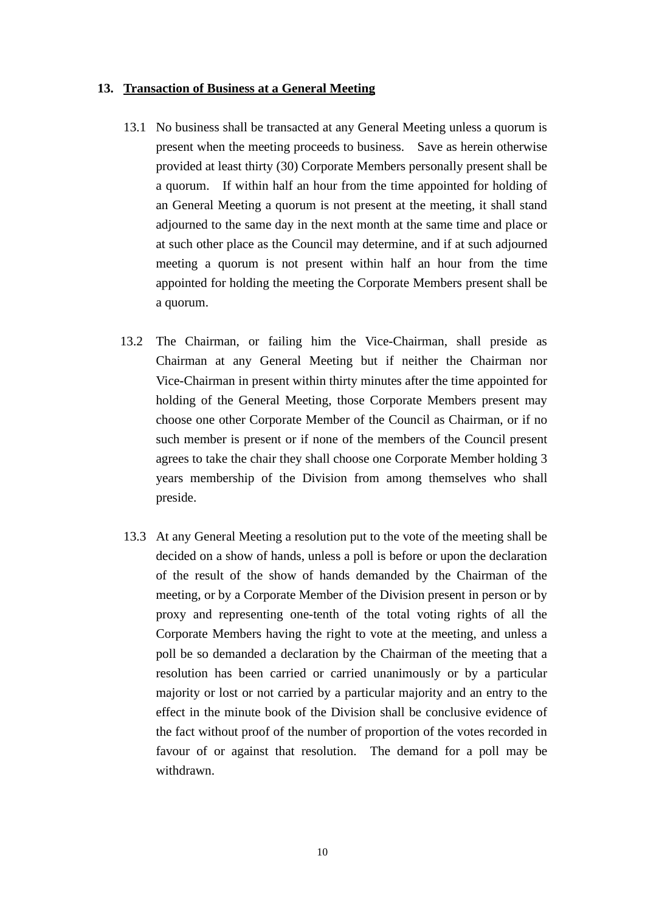### **13. Transaction of Business at a General Meeting**

- 13.1 No business shall be transacted at any General Meeting unless a quorum is present when the meeting proceeds to business. Save as herein otherwise provided at least thirty (30) Corporate Members personally present shall be a quorum. If within half an hour from the time appointed for holding of an General Meeting a quorum is not present at the meeting, it shall stand adjourned to the same day in the next month at the same time and place or at such other place as the Council may determine, and if at such adjourned meeting a quorum is not present within half an hour from the time appointed for holding the meeting the Corporate Members present shall be a quorum.
- 13.2 The Chairman, or failing him the Vice-Chairman, shall preside as Chairman at any General Meeting but if neither the Chairman nor Vice-Chairman in present within thirty minutes after the time appointed for holding of the General Meeting, those Corporate Members present may choose one other Corporate Member of the Council as Chairman, or if no such member is present or if none of the members of the Council present agrees to take the chair they shall choose one Corporate Member holding 3 years membership of the Division from among themselves who shall preside.
- 13.3 At any General Meeting a resolution put to the vote of the meeting shall be decided on a show of hands, unless a poll is before or upon the declaration of the result of the show of hands demanded by the Chairman of the meeting, or by a Corporate Member of the Division present in person or by proxy and representing one-tenth of the total voting rights of all the Corporate Members having the right to vote at the meeting, and unless a poll be so demanded a declaration by the Chairman of the meeting that a resolution has been carried or carried unanimously or by a particular majority or lost or not carried by a particular majority and an entry to the effect in the minute book of the Division shall be conclusive evidence of the fact without proof of the number of proportion of the votes recorded in favour of or against that resolution. The demand for a poll may be withdrawn.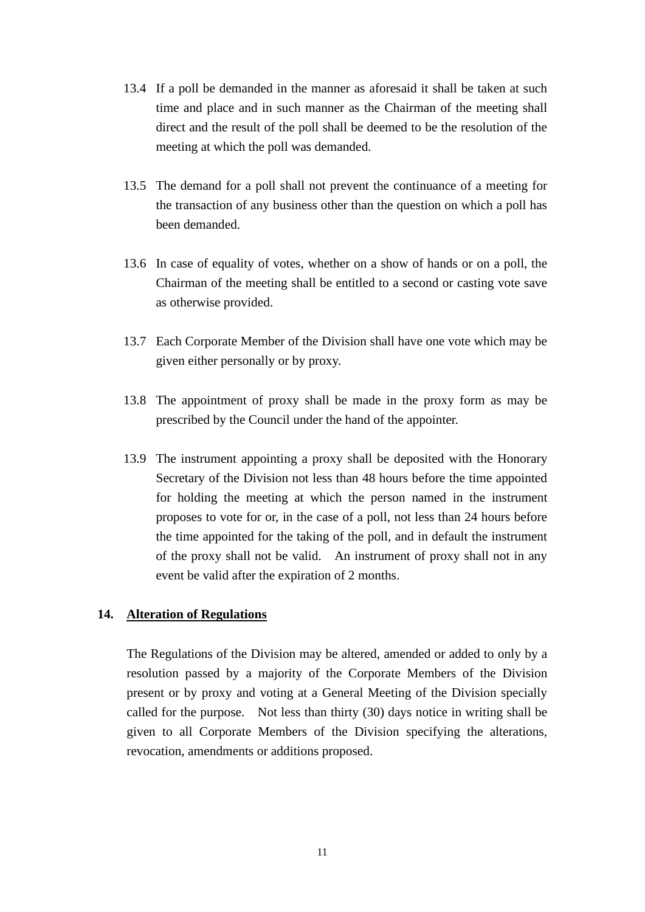- 13.4 If a poll be demanded in the manner as aforesaid it shall be taken at such time and place and in such manner as the Chairman of the meeting shall direct and the result of the poll shall be deemed to be the resolution of the meeting at which the poll was demanded.
- 13.5 The demand for a poll shall not prevent the continuance of a meeting for the transaction of any business other than the question on which a poll has been demanded.
- 13.6 In case of equality of votes, whether on a show of hands or on a poll, the Chairman of the meeting shall be entitled to a second or casting vote save as otherwise provided.
- 13.7 Each Corporate Member of the Division shall have one vote which may be given either personally or by proxy.
- 13.8 The appointment of proxy shall be made in the proxy form as may be prescribed by the Council under the hand of the appointer.
- 13.9 The instrument appointing a proxy shall be deposited with the Honorary Secretary of the Division not less than 48 hours before the time appointed for holding the meeting at which the person named in the instrument proposes to vote for or, in the case of a poll, not less than 24 hours before the time appointed for the taking of the poll, and in default the instrument of the proxy shall not be valid. An instrument of proxy shall not in any event be valid after the expiration of 2 months.

#### **14. Alteration of Regulations**

The Regulations of the Division may be altered, amended or added to only by a resolution passed by a majority of the Corporate Members of the Division present or by proxy and voting at a General Meeting of the Division specially called for the purpose. Not less than thirty (30) days notice in writing shall be given to all Corporate Members of the Division specifying the alterations, revocation, amendments or additions proposed.